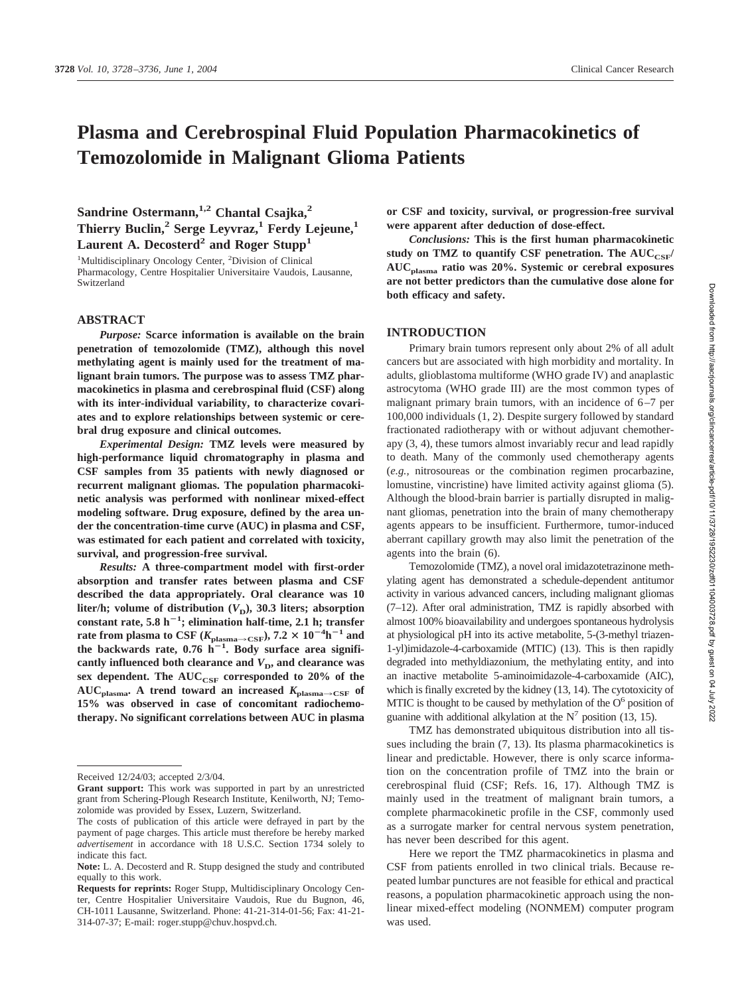# **Plasma and Cerebrospinal Fluid Population Pharmacokinetics of Temozolomide in Malignant Glioma Patients**

Sandrine Ostermann,<sup>1,2</sup> Chantal Csajka,<sup>2</sup> **Thierry Buclin,2 Serge Leyvraz,1 Ferdy Lejeune,1** Laurent A. Decosterd<sup>2</sup> and Roger Stupp<sup>1</sup>

<sup>1</sup>Multidisciplinary Oncology Center, <sup>2</sup>Division of Clinical Pharmacology, Centre Hospitalier Universitaire Vaudois, Lausanne, Switzerland

## **ABSTRACT**

*Purpose:* **Scarce information is available on the brain penetration of temozolomide (TMZ), although this novel methylating agent is mainly used for the treatment of malignant brain tumors. The purpose was to assess TMZ pharmacokinetics in plasma and cerebrospinal fluid (CSF) along with its inter-individual variability, to characterize covariates and to explore relationships between systemic or cerebral drug exposure and clinical outcomes.**

*Experimental Design:* **TMZ levels were measured by high-performance liquid chromatography in plasma and CSF samples from 35 patients with newly diagnosed or recurrent malignant gliomas. The population pharmacokinetic analysis was performed with nonlinear mixed-effect modeling software. Drug exposure, defined by the area under the concentration-time curve (AUC) in plasma and CSF, was estimated for each patient and correlated with toxicity, survival, and progression-free survival.**

*Results:* **A three-compartment model with first-order absorption and transfer rates between plasma and CSF described the data appropriately. Oral clearance was 10** liter/h; volume of distribution  $(V_D)$ , 30.3 liters; absorption **constant rate, 5.8 h<sup>1</sup> ; elimination half-time, 2.1 h; transfer rate from plasma to CSF** ( $K_{\text{plasma}\rightarrow\text{CSF}}$ ), 7.2  $\times$   $10^{-4} \text{h}^{-1}$  and the backwards rate,  $0.76$   $h^{-1}$ . Body surface area significantly influenced both clearance and  $V<sub>D</sub>$ , and clearance was sex dependent. The AUC<sub>CSF</sub> corresponded to 20% of the  $AUC_{plasma}$ . A trend toward an increased  $K_{plasma \rightarrow CSF}$  of **15% was observed in case of concomitant radiochemotherapy. No significant correlations between AUC in plasma** **or CSF and toxicity, survival, or progression-free survival were apparent after deduction of dose-effect.**

*Conclusions:* **This is the first human pharmacokinetic** study on TMZ to quantify CSF penetration. The AUC<sub>CSF</sub>/ **AUCplasma ratio was 20%. Systemic or cerebral exposures are not better predictors than the cumulative dose alone for both efficacy and safety.**

# **INTRODUCTION**

Primary brain tumors represent only about 2% of all adult cancers but are associated with high morbidity and mortality. In adults, glioblastoma multiforme (WHO grade IV) and anaplastic astrocytoma (WHO grade III) are the most common types of malignant primary brain tumors, with an incidence of 6–7 per 100,000 individuals (1, 2). Despite surgery followed by standard fractionated radiotherapy with or without adjuvant chemotherapy (3, 4), these tumors almost invariably recur and lead rapidly to death. Many of the commonly used chemotherapy agents (*e.g.,* nitrosoureas or the combination regimen procarbazine, lomustine, vincristine) have limited activity against glioma (5). Although the blood-brain barrier is partially disrupted in malignant gliomas, penetration into the brain of many chemotherapy agents appears to be insufficient. Furthermore, tumor-induced aberrant capillary growth may also limit the penetration of the agents into the brain (6).

Temozolomide (TMZ), a novel oral imidazotetrazinone methylating agent has demonstrated a schedule-dependent antitumor activity in various advanced cancers, including malignant gliomas (7–12). After oral administration, TMZ is rapidly absorbed with almost 100% bioavailability and undergoes spontaneous hydrolysis at physiological pH into its active metabolite, 5-(3-methyl triazen-1-yl)imidazole-4-carboxamide (MTIC) (13). This is then rapidly degraded into methyldiazonium, the methylating entity, and into an inactive metabolite 5-aminoimidazole-4-carboxamide (AIC), which is finally excreted by the kidney (13, 14). The cytotoxicity of MTIC is thought to be caused by methylation of the  $O<sup>6</sup>$  position of guanine with additional alkylation at the  $N^7$  position (13, 15).

TMZ has demonstrated ubiquitous distribution into all tissues including the brain (7, 13). Its plasma pharmacokinetics is linear and predictable. However, there is only scarce information on the concentration profile of TMZ into the brain or cerebrospinal fluid (CSF; Refs. 16, 17). Although TMZ is mainly used in the treatment of malignant brain tumors, a complete pharmacokinetic profile in the CSF, commonly used as a surrogate marker for central nervous system penetration, has never been described for this agent.

Here we report the TMZ pharmacokinetics in plasma and CSF from patients enrolled in two clinical trials. Because repeated lumbar punctures are not feasible for ethical and practical reasons, a population pharmacokinetic approach using the nonlinear mixed-effect modeling (NONMEM) computer program was used.

Received 12/24/03; accepted 2/3/04.

**Grant support:** This work was supported in part by an unrestricted grant from Schering-Plough Research Institute, Kenilworth, NJ; Temozolomide was provided by Essex, Luzern, Switzerland.

The costs of publication of this article were defrayed in part by the payment of page charges. This article must therefore be hereby marked *advertisement* in accordance with 18 U.S.C. Section 1734 solely to indicate this fact.

**Note:** L. A. Decosterd and R. Stupp designed the study and contributed equally to this work.

**Requests for reprints:** Roger Stupp, Multidisciplinary Oncology Center, Centre Hospitalier Universitaire Vaudois, Rue du Bugnon, 46, CH-1011 Lausanne, Switzerland. Phone: 41-21-314-01-56; Fax: 41-21- 314-07-37; E-mail: roger.stupp@chuv.hospvd.ch.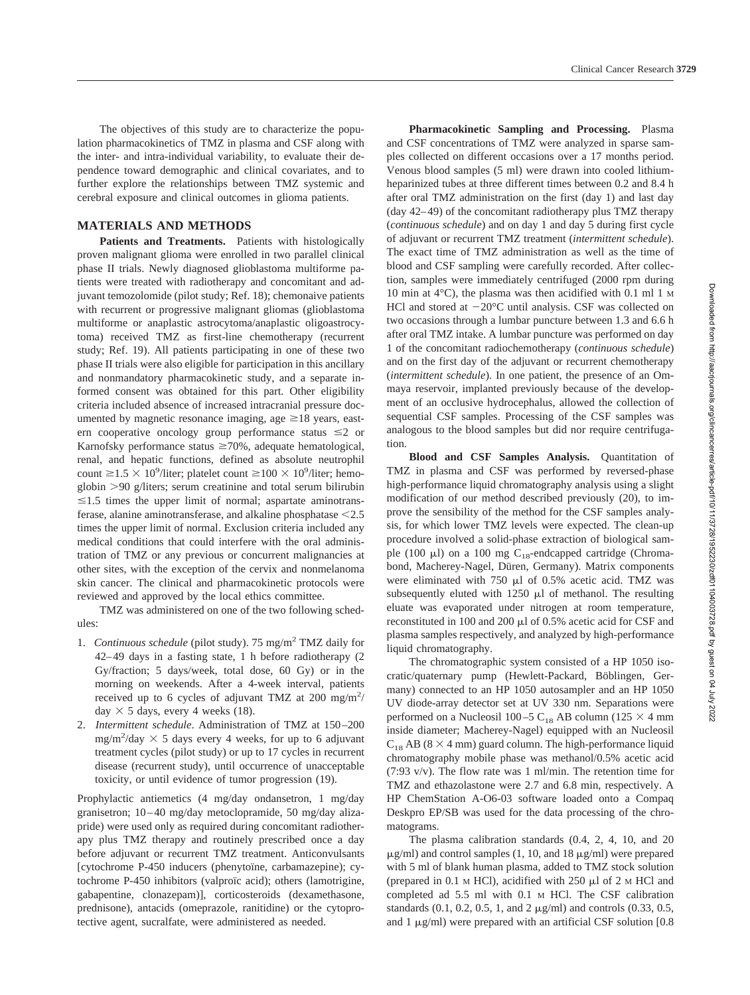# **MATERIALS AND METHODS**

Patients and Treatments. Patients with histologically proven malignant glioma were enrolled in two parallel clinical phase II trials. Newly diagnosed glioblastoma multiforme patients were treated with radiotherapy and concomitant and adjuvant temozolomide (pilot study; Ref. 18); chemonaive patients with recurrent or progressive malignant gliomas (glioblastoma multiforme or anaplastic astrocytoma/anaplastic oligoastrocytoma) received TMZ as first-line chemotherapy (recurrent study; Ref. 19). All patients participating in one of these two phase II trials were also eligible for participation in this ancillary and nonmandatory pharmacokinetic study, and a separate informed consent was obtained for this part. Other eligibility criteria included absence of increased intracranial pressure documented by magnetic resonance imaging, age  $\geq 18$  years, eastern cooperative oncology group performance status  $\leq 2$  or Karnofsky performance status  $\geq 70\%$ , adequate hematological, renal, and hepatic functions, defined as absolute neutrophil count  $\geq$  1.5  $\times$  10<sup>9</sup>/liter; platelet count  $\geq$  100  $\times$  10<sup>9</sup>/liter; hemoglobin -90 g/liters; serum creatinine and total serum bilirubin  $\leq$ 1.5 times the upper limit of normal; aspartate aminotransferase, alanine aminotransferase, and alkaline phosphatase  $\leq$ 2.5 times the upper limit of normal. Exclusion criteria included any medical conditions that could interfere with the oral administration of TMZ or any previous or concurrent malignancies at other sites, with the exception of the cervix and nonmelanoma skin cancer. The clinical and pharmacokinetic protocols were reviewed and approved by the local ethics committee.

TMZ was administered on one of the two following schedules:

- 1. *Continuous schedule* (pilot study). 75 mg/m2 TMZ daily for 42–49 days in a fasting state, 1 h before radiotherapy (2 Gy/fraction; 5 days/week, total dose, 60 Gy) or in the morning on weekends. After a 4-week interval, patients received up to 6 cycles of adjuvant TMZ at 200 mg/m<sup>2</sup>/ day  $\times$  5 days, every 4 weeks (18).
- 2. *Intermittent schedule*. Administration of TMZ at 150–200  $mg/m^2$ /day  $\times$  5 days every 4 weeks, for up to 6 adjuvant treatment cycles (pilot study) or up to 17 cycles in recurrent disease (recurrent study), until occurrence of unacceptable toxicity, or until evidence of tumor progression (19).

Prophylactic antiemetics (4 mg/day ondansetron, 1 mg/day granisetron; 10–40 mg/day metoclopramide, 50 mg/day alizapride) were used only as required during concomitant radiotherapy plus TMZ therapy and routinely prescribed once a day before adjuvant or recurrent TMZ treatment. Anticonvulsants [cytochrome P-450 inducers (phenytoïne, carbamazepine); cytochrome P-450 inhibitors (valproïc acid); others (lamotrigine, gabapentine, clonazepam)], corticosteroids (dexamethasone, prednisone), antacids (omeprazole, ranitidine) or the cytoprotective agent, sucralfate, were administered as needed.

**Pharmacokinetic Sampling and Processing.** Plasma and CSF concentrations of TMZ were analyzed in sparse samples collected on different occasions over a 17 months period. Venous blood samples (5 ml) were drawn into cooled lithiumheparinized tubes at three different times between 0.2 and 8.4 h after oral TMZ administration on the first (day 1) and last day (day 42–49) of the concomitant radiotherapy plus TMZ therapy (*continuous schedule*) and on day 1 and day 5 during first cycle of adjuvant or recurrent TMZ treatment (*intermittent schedule*). The exact time of TMZ administration as well as the time of blood and CSF sampling were carefully recorded. After collection, samples were immediately centrifuged (2000 rpm during 10 min at 4°C), the plasma was then acidified with 0.1 ml 1 M HCl and stored at  $-20^{\circ}$ C until analysis. CSF was collected on two occasions through a lumbar puncture between 1.3 and 6.6 h after oral TMZ intake. A lumbar puncture was performed on day 1 of the concomitant radiochemotherapy (*continuous schedule*) and on the first day of the adjuvant or recurrent chemotherapy (*intermittent schedule*). In one patient, the presence of an Ommaya reservoir, implanted previously because of the development of an occlusive hydrocephalus, allowed the collection of sequential CSF samples. Processing of the CSF samples was analogous to the blood samples but did nor require centrifugation.

**Blood and CSF Samples Analysis.** Quantitation of TMZ in plasma and CSF was performed by reversed-phase high-performance liquid chromatography analysis using a slight modification of our method described previously (20), to improve the sensibility of the method for the CSF samples analysis, for which lower TMZ levels were expected. The clean-up procedure involved a solid-phase extraction of biological sample (100  $\mu$ l) on a 100 mg C<sub>18</sub>-endcapped cartridge (Chromabond, Macherey-Nagel, Düren, Germany). Matrix components were eliminated with 750  $\mu$ l of 0.5% acetic acid. TMZ was subsequently eluted with  $1250 \mu l$  of methanol. The resulting eluate was evaporated under nitrogen at room temperature, reconstituted in 100 and 200  $\mu$ l of 0.5% acetic acid for CSF and plasma samples respectively, and analyzed by high-performance liquid chromatography.

The chromatographic system consisted of a HP 1050 isocratic/quaternary pump (Hewlett-Packard, Böblingen, Germany) connected to an HP 1050 autosampler and an HP 1050 UV diode-array detector set at UV 330 nm. Separations were performed on a Nucleosil 100–5 C<sub>18</sub> AB column (125  $\times$  4 mm inside diameter; Macherey-Nagel) equipped with an Nucleosil  $C_{18}$  AB (8  $\times$  4 mm) guard column. The high-performance liquid chromatography mobile phase was methanol/0.5% acetic acid (7:93 v/v). The flow rate was 1 ml/min. The retention time for TMZ and ethazolastone were 2.7 and 6.8 min, respectively. A HP ChemStation A-O6-03 software loaded onto a Compaq Deskpro EP/SB was used for the data processing of the chromatograms.

The plasma calibration standards (0.4, 2, 4, 10, and 20  $\mu$ g/ml) and control samples (1, 10, and 18  $\mu$ g/ml) were prepared with 5 ml of blank human plasma, added to TMZ stock solution (prepared in  $0.1$  M HCl), acidified with 250  $\mu$ l of 2 M HCl and completed ad 5.5 ml with 0.1 M HCl. The CSF calibration standards  $(0.1, 0.2, 0.5, 1, \text{ and } 2 \mu \text{g/ml})$  and controls  $(0.33, 0.5, 1, 0.5, 1, 0.5, 1, 0.5)$ and 1  $\mu$ g/ml) were prepared with an artificial CSF solution [0.8]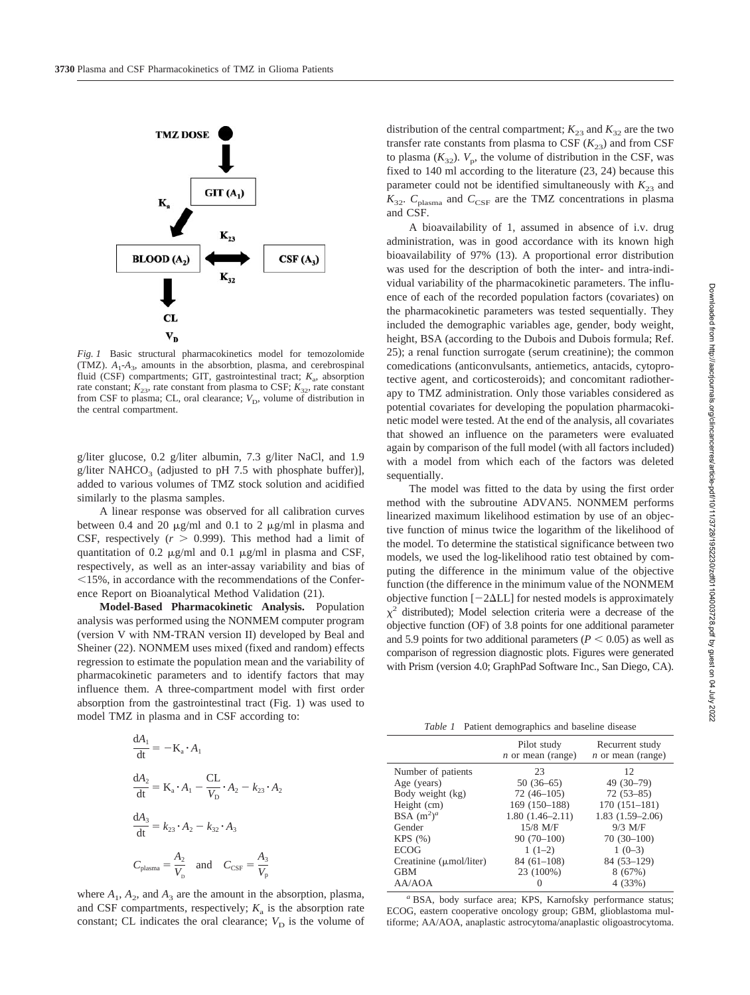

*Fig. 1* Basic structural pharmacokinetics model for temozolomide (TMZ).  $A_1$ - $A_3$ , amounts in the absorbtion, plasma, and cerebrospinal fluid (CSF) compartments; GIT, gastrointestinal tract;  $K_a$ , absorption rate constant;  $K_{23}$ , rate constant from plasma to CSF;  $K_{32}$ , rate constant from CSF to plasma; CL, oral clearance;  $V<sub>D</sub>$ , volume of distribution in the central compartment.

g/liter glucose, 0.2 g/liter albumin, 7.3 g/liter NaCl, and 1.9 g/liter NAHCO<sub>3</sub> (adjusted to pH 7.5 with phosphate buffer)], added to various volumes of TMZ stock solution and acidified similarly to the plasma samples.

A linear response was observed for all calibration curves between 0.4 and 20  $\mu$ g/ml and 0.1 to 2  $\mu$ g/ml in plasma and CSF, respectively  $(r > 0.999)$ . This method had a limit of quantitation of 0.2  $\mu$ g/ml and 0.1  $\mu$ g/ml in plasma and CSF, respectively, as well as an inter-assay variability and bias of  $15\%$ , in accordance with the recommendations of the Conference Report on Bioanalytical Method Validation (21).

**Model-Based Pharmacokinetic Analysis.** Population analysis was performed using the NONMEM computer program (version V with NM-TRAN version II) developed by Beal and Sheiner (22). NONMEM uses mixed (fixed and random) effects regression to estimate the population mean and the variability of pharmacokinetic parameters and to identify factors that may influence them. A three-compartment model with first order absorption from the gastrointestinal tract (Fig. 1) was used to model TMZ in plasma and in CSF according to:

$$
\frac{dA_1}{dt} = -K_a \cdot A_1
$$
  

$$
\frac{dA_2}{dt} = K_a \cdot A_1 - \frac{CL}{V_D} \cdot A_2 - k_{23} \cdot A_2
$$
  

$$
\frac{dA_3}{dt} = k_{23} \cdot A_2 - k_{32} \cdot A_3
$$
  

$$
C_{plasma} = \frac{A_2}{V_D} \text{ and } C_{CSF} = \frac{A_3}{V_p}
$$

where  $A_1$ ,  $A_2$ , and  $A_3$  are the amount in the absorption, plasma, and CSF compartments, respectively;  $K_a$  is the absorption rate constant; CL indicates the oral clearance;  $V_D$  is the volume of

distribution of the central compartment;  $K_{23}$  and  $K_{32}$  are the two transfer rate constants from plasma to CSF  $(K_{23})$  and from CSF to plasma  $(K_{32})$ .  $V_p$ , the volume of distribution in the CSF, was fixed to 140 ml according to the literature (23, 24) because this parameter could not be identified simultaneously with  $K_{23}$  and  $K_{32}$ .  $C_{\text{plasma}}$  and  $C_{\text{CSF}}$  are the TMZ concentrations in plasma and CSF.

A bioavailability of 1, assumed in absence of i.v. drug administration, was in good accordance with its known high bioavailability of 97% (13). A proportional error distribution was used for the description of both the inter- and intra-individual variability of the pharmacokinetic parameters. The influence of each of the recorded population factors (covariates) on the pharmacokinetic parameters was tested sequentially. They included the demographic variables age, gender, body weight, height, BSA (according to the Dubois and Dubois formula; Ref. 25); a renal function surrogate (serum creatinine); the common comedications (anticonvulsants, antiemetics, antacids, cytoprotective agent, and corticosteroids); and concomitant radiotherapy to TMZ administration. Only those variables considered as potential covariates for developing the population pharmacokinetic model were tested. At the end of the analysis, all covariates that showed an influence on the parameters were evaluated again by comparison of the full model (with all factors included) with a model from which each of the factors was deleted sequentially.

The model was fitted to the data by using the first order method with the subroutine ADVAN5. NONMEM performs linearized maximum likelihood estimation by use of an objective function of minus twice the logarithm of the likelihood of the model. To determine the statistical significance between two models, we used the log-likelihood ratio test obtained by computing the difference in the minimum value of the objective function (the difference in the minimum value of the NONMEM objective function  $[-2\Delta L L]$  for nested models is approximately  $\chi^2$  distributed); Model selection criteria were a decrease of the objective function (OF) of 3.8 points for one additional parameter and 5.9 points for two additional parameters ( $P < 0.05$ ) as well as comparison of regression diagnostic plots. Figures were generated with Prism (version 4.0; GraphPad Software Inc., San Diego, CA).

*Table 1* Patient demographics and baseline disease

|                                     | Pilot study<br>$n$ or mean (range) | Recurrent study<br>$n$ or mean (range) |
|-------------------------------------|------------------------------------|----------------------------------------|
| Number of patients                  | 23                                 | 12                                     |
| Age (years)                         | $50(36-65)$                        | $49(30-79)$                            |
| Body weight (kg)                    | $72(46-105)$                       | $72(53 - 85)$                          |
| Height (cm)                         | $169(150-188)$                     | $170(151-181)$                         |
| BSA $(m^2)^a$                       | $1.80(1.46-2.11)$                  | $1.83(1.59-2.06)$                      |
| Gender                              | 15/8 M/F                           | $9/3$ M/F                              |
| KPS(%)                              | $90(70-100)$                       | $70(30-100)$                           |
| <b>ECOG</b>                         | $1(1-2)$                           | $1(0-3)$                               |
| Creatinine $(\mu \text{mol/liter})$ | $84(61-108)$                       | $84(53-129)$                           |
| <b>GBM</b>                          | 23 (100%)                          | 8(67%)                                 |
| AA/AOA                              | $\mathbf{\Omega}$                  | 4 (33%)                                |
|                                     |                                    |                                        |

*<sup>a</sup>* BSA, body surface area; KPS, Karnofsky performance status; ECOG, eastern cooperative oncology group; GBM, glioblastoma multiforme; AA/AOA, anaplastic astrocytoma/anaplastic oligoastrocytoma.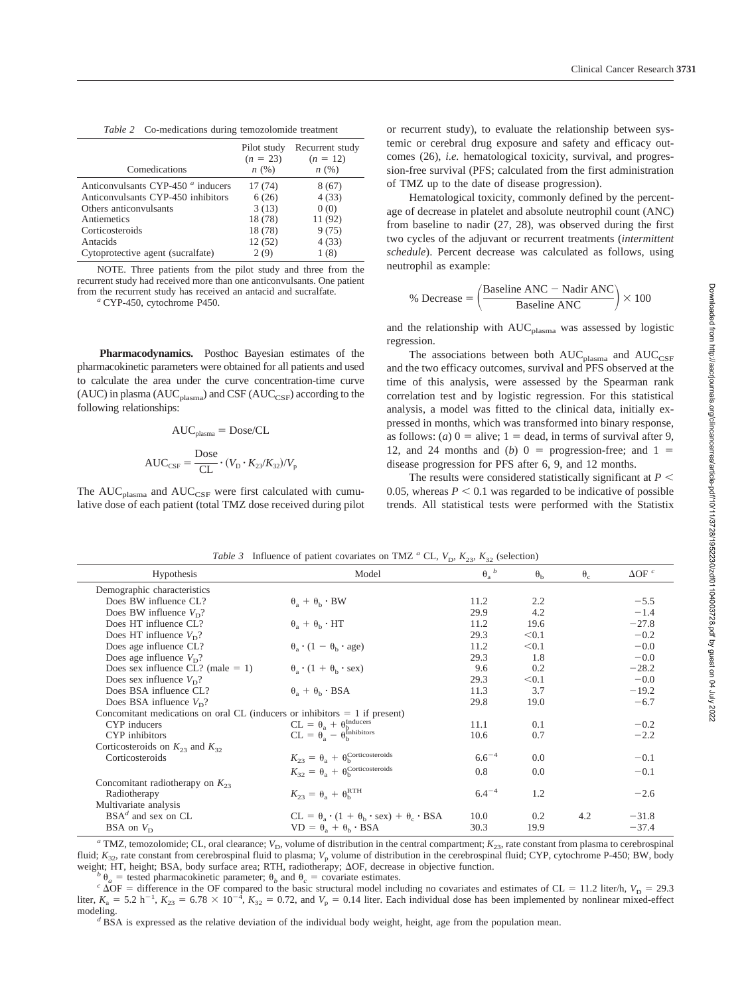| Table 2 Co-medications during temozolomide treatment |  |  |
|------------------------------------------------------|--|--|
|                                                      |  |  |

|                                                      | Pilot study<br>$(n = 23)$ | Recurrent study<br>$(n = 12)$ |
|------------------------------------------------------|---------------------------|-------------------------------|
| Comedications                                        | n(%)                      | n(%)                          |
| Anticonvulsants CYP-450 <sup><i>a</i></sup> inducers | 17(74)                    | 8(67)                         |
| Anticonvulsants CYP-450 inhibitors                   | 6(26)                     | 4(33)                         |
| Others anticonvulsants                               | 3(13)                     | 0(0)                          |
| Antiemetics                                          | 18 (78)                   | 11 (92)                       |
| Corticosteroids                                      | 18 (78)                   | 9(75)                         |
| Antacids                                             | 12(52)                    | 4(33)                         |
| Cytoprotective agent (sucralfate)                    | 2(9)                      | 1 (8)                         |

NOTE. Three patients from the pilot study and three from the recurrent study had received more than one anticonvulsants. One patient from the recurrent study has received an antacid and sucralfate. *<sup>a</sup>* CYP-450, cytochrome P450.

**Pharmacodynamics.** Posthoc Bayesian estimates of the pharmacokinetic parameters were obtained for all patients and used to calculate the area under the curve concentration-time curve (AUC) in plasma (AUC<sub>plasma</sub>) and CSF (AUC<sub>CSF</sub>) according to the following relationships:

$$
AUC_{plasma} = Dose/CL
$$

$$
AUC_{CSF} = \frac{Dose}{CL} \cdot (V_D \cdot K_{23}/K_{32})/V_p
$$

The  $AUC_{plasma}$  and  $AUC_{CSF}$  were first calculated with cumulative dose of each patient (total TMZ dose received during pilot

or recurrent study), to evaluate the relationship between systemic or cerebral drug exposure and safety and efficacy outcomes (26), *i.e.* hematological toxicity, survival, and progression-free survival (PFS; calculated from the first administration of TMZ up to the date of disease progression).

Hematological toxicity, commonly defined by the percentage of decrease in platelet and absolute neutrophil count (ANC) from baseline to nadir (27, 28), was observed during the first two cycles of the adjuvant or recurrent treatments (*intermittent schedule*). Percent decrease was calculated as follows, using neutrophil as example:

$$
\% \text{ Decrease} = \left(\frac{\text{Baseline ANC} - \text{Nadir ANC}}{\text{Baseline ANC}}\right) \times 100
$$

and the relationship with  $AUC_{plasma}$  was assessed by logistic regression.

The associations between both  $AUC_{\text{plasma}}$  and  $AUC_{\text{CSF}}$ and the two efficacy outcomes, survival and PFS observed at the time of this analysis, were assessed by the Spearman rank correlation test and by logistic regression. For this statistical analysis, a model was fitted to the clinical data, initially expressed in months, which was transformed into binary response, as follows: (*a*)  $0 =$  alive;  $1 =$  dead, in terms of survival after 9, 12, and 24 months and  $(b)$  0 = progression-free; and 1 = disease progression for PFS after 6, 9, and 12 months.

The results were considered statistically significant at  $P \leq$ 0.05, whereas  $P < 0.1$  was regarded to be indicative of possible trends. All statistical tests were performed with the Statistix

*Table 3* Influence of patient covariates on TMZ  $\frac{a}{b}$  CL, *K*, *K* (selection)

| Table 5. Influence of patient covariates on TML CL, $v_D$ , $K_{23}$ , $K_{32}$ (sciection) |                                                                     |                  |                  |                  |                          |  |
|---------------------------------------------------------------------------------------------|---------------------------------------------------------------------|------------------|------------------|------------------|--------------------------|--|
| Hypothesis                                                                                  | Model                                                               | $\theta_a^{\ b}$ | $\theta_{\rm b}$ | $\theta_{\rm c}$ | $\Delta$ OF <sup>c</sup> |  |
| Demographic characteristics                                                                 |                                                                     |                  |                  |                  |                          |  |
| Does BW influence CL?                                                                       | $\theta_a + \theta_b \cdot BW$                                      | 11.2             | 2.2              |                  | $-5.5$                   |  |
| Does BW influence $V_{D}$ ?                                                                 |                                                                     | 29.9             | 4.2              |                  | $-1.4$                   |  |
| Does HT influence CL?                                                                       | $\theta_a + \theta_b \cdot HT$                                      | 11.2             | 19.6             |                  | $-27.8$                  |  |
| Does HT influence $V_{D}$ ?                                                                 |                                                                     | 29.3             | < 0.1            |                  | $-0.2$                   |  |
| Does age influence CL?                                                                      | $\theta_a \cdot (1 - \theta_b \cdot age)$                           | 11.2             | < 0.1            |                  | $-0.0$                   |  |
| Does age influence $V_p$ ?                                                                  |                                                                     | 29.3             | 1.8              |                  | $-0.0$                   |  |
| Does sex influence $CL$ ? (male = 1)                                                        | $\theta_a \cdot (1 + \theta_b \cdot \text{sex})$                    | 9.6              | 0.2              |                  | $-28.2$                  |  |
| Does sex influence $V_{\rm D}$ ?                                                            |                                                                     | 29.3             | < 0.1            |                  | $-0.0$                   |  |
| Does BSA influence CL?                                                                      | $\theta_a + \theta_b \cdot BSA$                                     | 11.3             | 3.7              |                  | $-19.2$                  |  |
| Does BSA influence $V_{\rm D}$ ?                                                            |                                                                     | 29.8             | 19.0             |                  | $-6.7$                   |  |
| Concomitant medications on oral CL (inducers or inhibitors $= 1$ if present)                |                                                                     |                  |                  |                  |                          |  |
| CYP inducers                                                                                | $CL = \theta_a + \theta_b^{Inducers}$                               | 11.1             | 0.1              |                  | $-0.2$                   |  |
| CYP inhibitors                                                                              | $CL = \theta_{\rm o} - \theta_{\rm h}^{\rm Inhibitors}$             | 10.6             | 0.7              |                  | $-2.2$                   |  |
| Corticosteroids on $K_{23}$ and $K_{32}$                                                    |                                                                     |                  |                  |                  |                          |  |
| Corticosteroids                                                                             | $K_{23} = \theta_a + \theta_b^{\text{Corticosteroids}}$             | $6.6^{-4}$       | 0.0              |                  | $-0.1$                   |  |
|                                                                                             | $K_{32} = \theta_{\rm a} + \theta_{\rm b}^{\rm Corticosteroids}$    | 0.8              | 0.0              |                  | $-0.1$                   |  |
| Concomitant radiotherapy on $K_{23}$                                                        |                                                                     |                  |                  |                  |                          |  |
| Radiotherapy                                                                                | $K_{23} = \theta_a + \theta_b^{RTH}$                                | $6.4^{-4}$       | 1.2              |                  | $-2.6$                   |  |
| Multivariate analysis                                                                       |                                                                     |                  |                  |                  |                          |  |
| $BSAd$ and sex on CL                                                                        | $CL = \theta_a \cdot (1 + \theta_b \cdot sex) + \theta_c \cdot BSA$ | 10.0             | 0.2              | 4.2              | $-31.8$                  |  |
| BSA on $V_D$                                                                                | $VD = \theta_a + \theta_b \cdot BSA$                                | 30.3             | 19.9             |                  | $-37.4$                  |  |

<sup>*a*</sup> TMZ, temozolomide; CL, oral clearance;  $V_D$ , volume of distribution in the central compartment;  $K_{23}$ , rate constant from plasma to cerebrospinal fluid; *K*<sub>32</sub>, rate constant from cerebrospinal fluid to plasma; *V*<sub>p</sub> volume of distribution in the cerebrospinal fluid; CYP, cytochrome P-450; BW, body weight; HT, height; BSA, body surface area; RTH, radiotherapy;  $\Delta$ 

 $b_{a}$  = tested pharmacokinetic parameter;  $\theta_{b}$  and  $\theta_{c}$  = covariate estimates.<br>
C  $\Delta$ OF = difference in the OF compared to the basic structural model including no covariates and estimates of CL = 11.2 liter/h,  $V_{$ liter,  $K_a = 5.2 \text{ h}^{-1}$ ,  $K_{23} = 6.78 \times 10^{-4}$ ,  $K_{32} = 0.72$ , and  $V_p = 0.14$  liter. Each individual dose has been implemented by nonlinear mixed-effect modeling.<br><sup>*d*</sup> BSA is expressed as the relative deviation of the individual body weight, height, age from the population mean.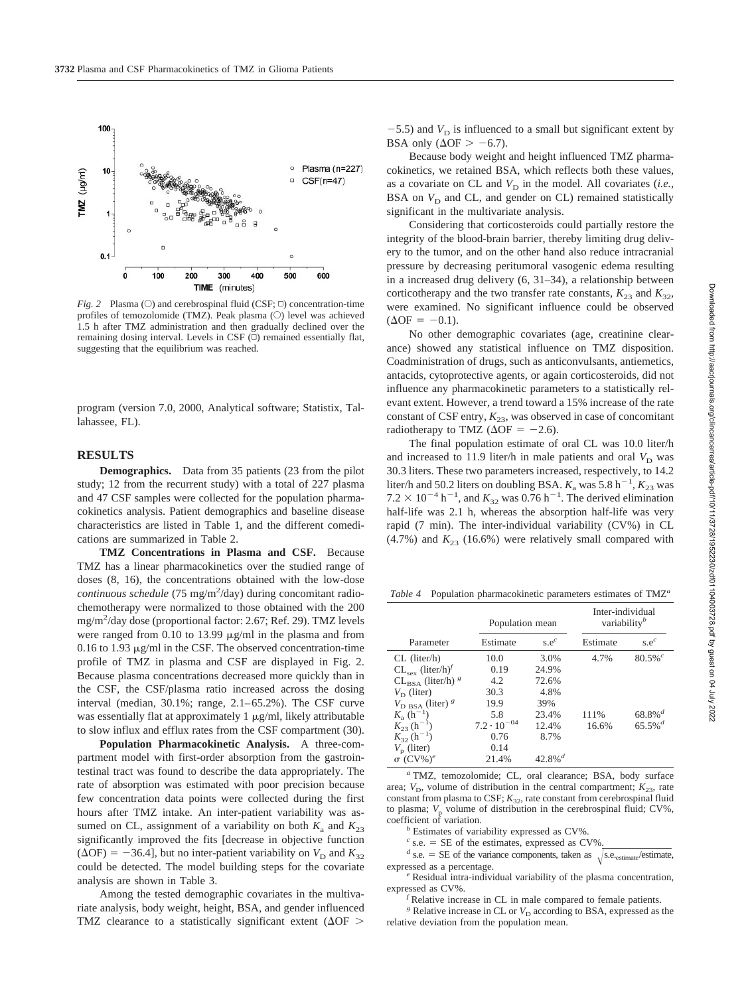

*Fig. 2* Plasma ( $\circ$ ) and cerebrospinal fluid (CSF;  $\circ$ ) concentration-time profiles of temozolomide (TMZ). Peak plasma  $(O)$  level was achieved 1.5 h after TMZ administration and then gradually declined over the remaining dosing interval. Levels in CSF  $(\Box)$  remained essentially flat, suggesting that the equilibrium was reached.

program (version 7.0, 2000, Analytical software; Statistix, Tallahassee, FL).

## **RESULTS**

**Demographics.** Data from 35 patients (23 from the pilot study; 12 from the recurrent study) with a total of 227 plasma and 47 CSF samples were collected for the population pharmacokinetics analysis. Patient demographics and baseline disease characteristics are listed in Table 1, and the different comedications are summarized in Table 2.

**TMZ Concentrations in Plasma and CSF.** Because TMZ has a linear pharmacokinetics over the studied range of doses (8, 16), the concentrations obtained with the low-dose continuous schedule (75 mg/m<sup>2</sup>/day) during concomitant radiochemotherapy were normalized to those obtained with the 200 mg/m2 /day dose (proportional factor: 2.67; Ref. 29). TMZ levels were ranged from 0.10 to 13.99  $\mu$ g/ml in the plasma and from 0.16 to 1.93  $\mu$ g/ml in the CSF. The observed concentration-time profile of TMZ in plasma and CSF are displayed in Fig. 2. Because plasma concentrations decreased more quickly than in the CSF, the CSF/plasma ratio increased across the dosing interval (median, 30.1%; range, 2.1–65.2%). The CSF curve was essentially flat at approximately  $1 \mu g/ml$ , likely attributable to slow influx and efflux rates from the CSF compartment (30).

**Population Pharmacokinetic Analysis.** A three-compartment model with first-order absorption from the gastrointestinal tract was found to describe the data appropriately. The rate of absorption was estimated with poor precision because few concentration data points were collected during the first hours after TMZ intake. An inter-patient variability was assumed on CL, assignment of a variability on both  $K_a$  and  $K_{23}$ significantly improved the fits [decrease in objective function ( $\Delta$ OF) = -36.4], but no inter-patient variability on *V*<sub>D</sub> and *K*<sub>32</sub> could be detected. The model building steps for the covariate analysis are shown in Table 3.

Among the tested demographic covariates in the multivariate analysis, body weight, height, BSA, and gender influenced TMZ clearance to a statistically significant extent ( $\Delta$ OF  $>$ 

 $-5.5$ ) and  $V_D$  is influenced to a small but significant extent by BSA only ( $\Delta$ OF  $> -6.7$ ).

Because body weight and height influenced TMZ pharmacokinetics, we retained BSA, which reflects both these values, as a covariate on CL and  $V_D$  in the model. All covariates (*i.e.*, BSA on  $V_D$  and CL, and gender on CL) remained statistically significant in the multivariate analysis.

Considering that corticosteroids could partially restore the integrity of the blood-brain barrier, thereby limiting drug delivery to the tumor, and on the other hand also reduce intracranial pressure by decreasing peritumoral vasogenic edema resulting in a increased drug delivery (6, 31–34), a relationship between corticotherapy and the two transfer rate constants,  $K_{23}$  and  $K_{32}$ , were examined. No significant influence could be observed  $(\Delta$ OF = -0.1).

No other demographic covariates (age, creatinine clearance) showed any statistical influence on TMZ disposition. Coadministration of drugs, such as anticonvulsants, antiemetics, antacids, cytoprotective agents, or again corticosteroids, did not influence any pharmacokinetic parameters to a statistically relevant extent. However, a trend toward a 15% increase of the rate constant of CSF entry,  $K_{23}$ , was observed in case of concomitant radiotherapy to TMZ ( $\Delta$ OF = -2.6).

The final population estimate of oral CL was 10.0 liter/h and increased to 11.9 liter/h in male patients and oral  $V_D$  was 30.3 liters. These two parameters increased, respectively, to 14.2 liter/h and 50.2 liters on doubling BSA.  $K_a$  was 5.8 h<sup>-1</sup>,  $K_{23}$  was  $7.2 \times 10^{-4}$  h<sup>-1</sup>, and  $K_{32}$  was 0.76 h<sup>-1</sup>. The derived elimination half-life was 2.1 h, whereas the absorption half-life was very rapid (7 min). The inter-individual variability (CV%) in CL  $(4.7%)$  and  $K_{23}$  (16.6%) were relatively small compared with

*Table 4* Population pharmacokinetic parameters estimates of TMZ*<sup>a</sup>*

|                                          | Population mean      |                       | Inter-individual<br>variability <sup>b</sup> |                       |
|------------------------------------------|----------------------|-----------------------|----------------------------------------------|-----------------------|
| Parameter                                | Estimate             | s.e <sup>c</sup>      | Estimate                                     | s.e <sup>c</sup>      |
| $CL$ (liter/h)                           | 10.0                 | 3.0%                  | 4.7%                                         | $80.5\%$ <sup>c</sup> |
| $CL_{\text{sex}}$ (liter/h) <sup>f</sup> | 0.19                 | 24.9%                 |                                              |                       |
| $CL_{BSA}$ (liter/h) $g$                 | 4.2                  | 72.6%                 |                                              |                       |
| $V_{\rm D}$ (liter)                      | 30.3                 | 4.8%                  |                                              |                       |
| $V_{\rm DBSA}$ (liter) $^g$              | 19.9                 | 39%                   |                                              |                       |
| $K_{a}$ (h <sup>-1</sup> )               | 5.8                  | 23.4%                 | 111%                                         | $68.8\%$ <sup>d</sup> |
| $K_{23}$ (h <sup>-1</sup> )              | $7.2 \cdot 10^{-04}$ | 12.4%                 | 16.6%                                        | $65.5\%$ <sup>d</sup> |
| $K_{32}$ (h <sup>-1</sup> )              | 0.76                 | 8.7%                  |                                              |                       |
| $V_{\rm p}$ (liter)                      | 0.14                 |                       |                                              |                       |
| $\sigma$ (CV%) <sup>e</sup>              | 21.4%                | $42.8\%$ <sup>d</sup> |                                              |                       |

*<sup>a</sup>* TMZ, temozolomide; CL, oral clearance; BSA, body surface area;  $V_D$ , volume of distribution in the central compartment;  $K_{23}$ , rate constant from plasma to CSF;  $K_{32}$ , rate constant from cerebrospinal fluid to plasma;  $V_p$  volume of distribution in the cerebrospinal fluid; CV%, coefficient of variation.

<sup>*b*</sup> Estimates of variability expressed as CV%.<br>  $c$  s.e. = SE of the estimates, expressed as CV%

<sup>*d*</sup> s.e. = SE of the variance components, taken as  $\sqrt{\text{s.e.,}}$  estimate, expressed as a percentage.

<sup>e</sup> Residual intra-individual variability of the plasma concentration, expressed as CV%. *<sup>f</sup>*

Relative increase in CL in male compared to female patients.

 $g$  Relative increase in CL or  $V_D$  according to BSA, expressed as the relative deviation from the population mean.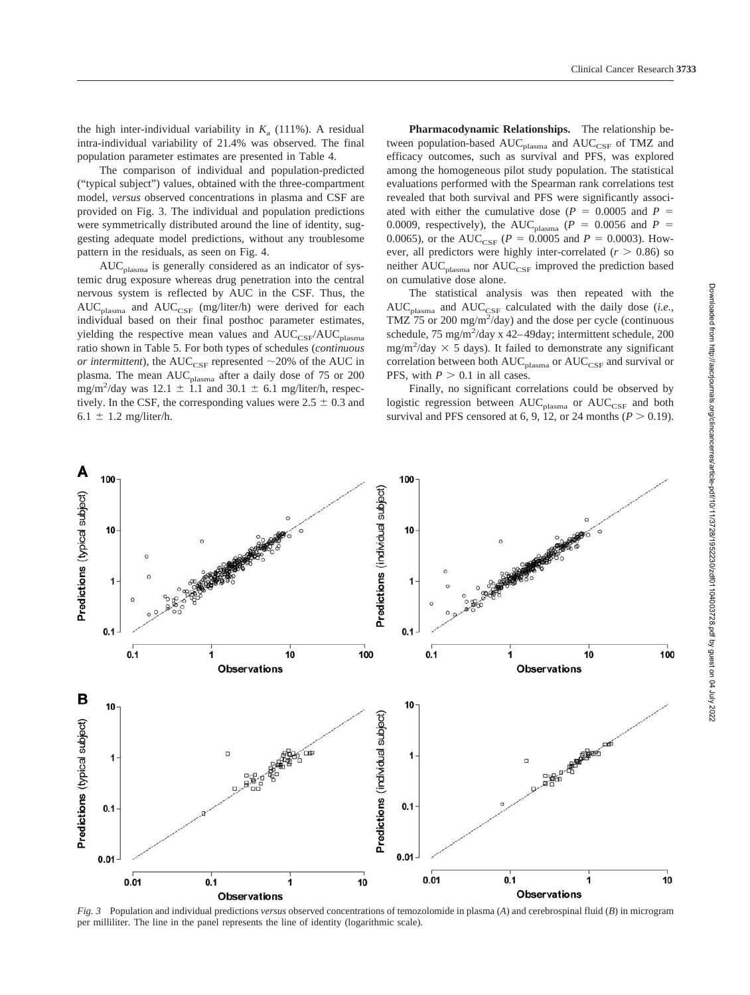the high inter-individual variability in  $K_a$  (111%). A residual intra-individual variability of 21.4% was observed. The final population parameter estimates are presented in Table 4.

The comparison of individual and population-predicted ("typical subject") values, obtained with the three-compartment model, *versus* observed concentrations in plasma and CSF are provided on Fig. 3. The individual and population predictions were symmetrically distributed around the line of identity, suggesting adequate model predictions, without any troublesome pattern in the residuals, as seen on Fig. 4.

 $AUC_{plasma}$  is generally considered as an indicator of systemic drug exposure whereas drug penetration into the central nervous system is reflected by AUC in the CSF. Thus, the  $AUC_{plasma}$  and  $AUC_{CSF}$  (mg/liter/h) were derived for each individual based on their final posthoc parameter estimates, yielding the respective mean values and  $AUC_{CSF}/AUC_{plasma}$ ratio shown in Table 5. For both types of schedules (*continuous or intermittent*), the AUC<sub>CSF</sub> represented  $\sim$ 20% of the AUC in plasma. The mean AUC<sub>plasma</sub> after a daily dose of 75 or 200  $mg/m^2$ /day was 12.1  $\pm$  1.1 and 30.1  $\pm$  6.1 mg/liter/h, respectively. In the CSF, the corresponding values were  $2.5 \pm 0.3$  and 6.1  $\pm$  1.2 mg/liter/h.

**Pharmacodynamic Relationships.** The relationship between population-based  $AUC_{plasma}$  and  $AUC_{CSF}$  of TMZ and efficacy outcomes, such as survival and PFS, was explored among the homogeneous pilot study population. The statistical evaluations performed with the Spearman rank correlations test revealed that both survival and PFS were significantly associated with either the cumulative dose  $(P = 0.0005$  and  $P =$ 0.0009, respectively), the AUC<sub>plasma</sub> ( $P = 0.0056$  and  $P =$ 0.0065), or the AUC<sub>CSF</sub> ( $P = 0.0005$  and  $P = 0.0003$ ). However, all predictors were highly inter-correlated  $(r > 0.86)$  so neither  $AUC_{plasma}$  nor  $AUC_{CSF}$  improved the prediction based on cumulative dose alone.

The statistical analysis was then repeated with the  $AUC_{plasma}$  and  $AUC_{CSF}$  calculated with the daily dose (*i.e.*, TMZ 75 or 200 mg/m<sup>2</sup>/day) and the dose per cycle (continuous schedule,  $75 \text{ mg/m}^2/\text{day} \times 42-49 \text{day}$ ; intermittent schedule,  $200$ mg/m<sup>2</sup>/day  $\times$  5 days). It failed to demonstrate any significant correlation between both  $AUC_{plasma}$  or  $AUC_{CSF}$  and survival or PFS, with  $P > 0.1$  in all cases.

Finally, no significant correlations could be observed by logistic regression between  $AUC_{plasma}$  or  $AUC_{CSF}$  and both survival and PFS censored at 6, 9, 12, or 24 months  $(P > 0.19)$ .



*Fig. 3* Population and individual predictions *versus* observed concentrations of temozolomide in plasma (*A*) and cerebrospinal fluid (*B*) in microgram per milliliter. The line in the panel represents the line of identity (logarithmic scale).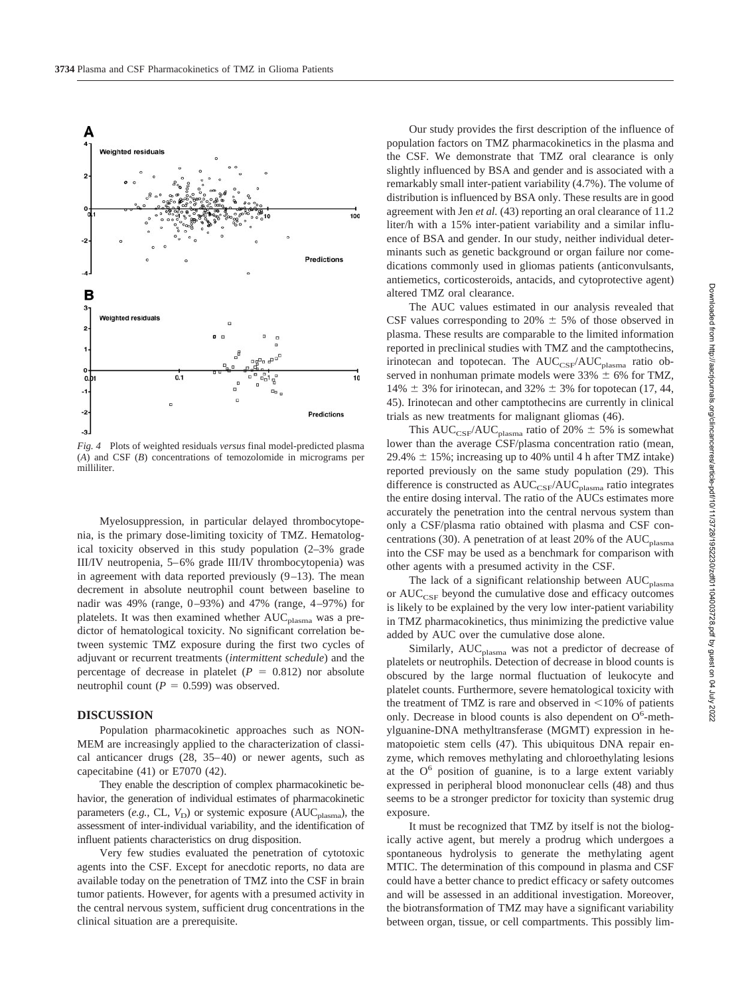

*Fig. 4* Plots of weighted residuals *versus* final model-predicted plasma (*A*) and CSF (*B*) concentrations of temozolomide in micrograms per milliliter.

Myelosuppression, in particular delayed thrombocytopenia, is the primary dose-limiting toxicity of TMZ. Hematological toxicity observed in this study population (2–3% grade III/IV neutropenia, 5–6% grade III/IV thrombocytopenia) was in agreement with data reported previously (9–13). The mean decrement in absolute neutrophil count between baseline to nadir was 49% (range, 0–93%) and 47% (range, 4–97%) for platelets. It was then examined whether  $AUC_{plasma}$  was a predictor of hematological toxicity. No significant correlation between systemic TMZ exposure during the first two cycles of adjuvant or recurrent treatments (*intermittent schedule*) and the percentage of decrease in platelet ( $P = 0.812$ ) nor absolute neutrophil count  $(P = 0.599)$  was observed.

#### **DISCUSSION**

Population pharmacokinetic approaches such as NON-MEM are increasingly applied to the characterization of classical anticancer drugs (28, 35–40) or newer agents, such as capecitabine (41) or E7070 (42).

They enable the description of complex pharmacokinetic behavior, the generation of individual estimates of pharmacokinetic parameters (*e.g.*, CL,  $V_D$ ) or systemic exposure (AUC<sub>plasma</sub>), the assessment of inter-individual variability, and the identification of influent patients characteristics on drug disposition.

Very few studies evaluated the penetration of cytotoxic agents into the CSF. Except for anecdotic reports, no data are available today on the penetration of TMZ into the CSF in brain tumor patients. However, for agents with a presumed activity in the central nervous system, sufficient drug concentrations in the clinical situation are a prerequisite.

Our study provides the first description of the influence of population factors on TMZ pharmacokinetics in the plasma and the CSF. We demonstrate that TMZ oral clearance is only slightly influenced by BSA and gender and is associated with a remarkably small inter-patient variability (4.7%). The volume of distribution is influenced by BSA only. These results are in good agreement with Jen *et al.* (43) reporting an oral clearance of 11.2 liter/h with a 15% inter-patient variability and a similar influence of BSA and gender. In our study, neither individual determinants such as genetic background or organ failure nor comedications commonly used in gliomas patients (anticonvulsants, antiemetics, corticosteroids, antacids, and cytoprotective agent) altered TMZ oral clearance.

The AUC values estimated in our analysis revealed that CSF values corresponding to 20%  $\pm$  5% of those observed in plasma. These results are comparable to the limited information reported in preclinical studies with TMZ and the camptothecins, irinotecan and topotecan. The AUC<sub>CSF</sub>/AUC<sub>plasma</sub> ratio observed in nonhuman primate models were  $33\% \pm 6\%$  for TMZ, 14%  $\pm$  3% for irinotecan, and 32%  $\pm$  3% for topotecan (17, 44, 45). Irinotecan and other camptothecins are currently in clinical trials as new treatments for malignant gliomas (46).

This AUC<sub>CSF</sub>/AUC<sub>plasma</sub> ratio of 20%  $\pm$  5% is somewhat lower than the average CSF/plasma concentration ratio (mean,  $29.4\% \pm 15\%$ ; increasing up to 40% until 4 h after TMZ intake) reported previously on the same study population (29). This difference is constructed as  $AUC_{CSF}/AUC_{plasma}$  ratio integrates the entire dosing interval. The ratio of the AUCs estimates more accurately the penetration into the central nervous system than only a CSF/plasma ratio obtained with plasma and CSF concentrations (30). A penetration of at least 20% of the  $AUC_{plasma}$ into the CSF may be used as a benchmark for comparison with other agents with a presumed activity in the CSF.

The lack of a significant relationship between  $AUC_{plasma}$ or  $AUC_{CSF}$  beyond the cumulative dose and efficacy outcomes is likely to be explained by the very low inter-patient variability in TMZ pharmacokinetics, thus minimizing the predictive value added by AUC over the cumulative dose alone.

Similarly,  $AUC_{plasma}$  was not a predictor of decrease of platelets or neutrophils. Detection of decrease in blood counts is obscured by the large normal fluctuation of leukocyte and platelet counts. Furthermore, severe hematological toxicity with the treatment of TMZ is rare and observed in  $\leq 10\%$  of patients only. Decrease in blood counts is also dependent on  $O^6$ -methylguanine-DNA methyltransferase (MGMT) expression in hematopoietic stem cells (47). This ubiquitous DNA repair enzyme, which removes methylating and chloroethylating lesions at the  $O<sup>6</sup>$  position of guanine, is to a large extent variably expressed in peripheral blood mononuclear cells (48) and thus seems to be a stronger predictor for toxicity than systemic drug exposure.

It must be recognized that TMZ by itself is not the biologically active agent, but merely a prodrug which undergoes a spontaneous hydrolysis to generate the methylating agent MTIC. The determination of this compound in plasma and CSF could have a better chance to predict efficacy or safety outcomes and will be assessed in an additional investigation. Moreover, the biotransformation of TMZ may have a significant variability between organ, tissue, or cell compartments. This possibly lim-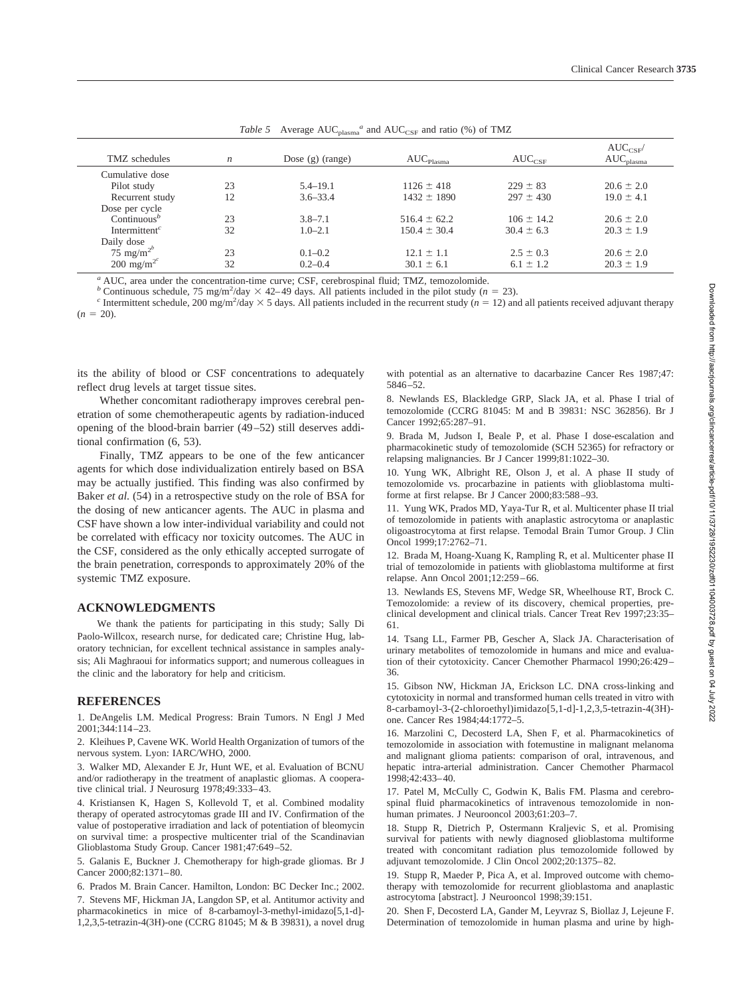| TMZ schedules                          | $\boldsymbol{n}$ | Dose $(g)$ (range) | $\mathrm{AUC}_\mathrm{Plasma}$ | $AUC_{CSF}$    | $AUC_{CSF}$<br>$AUC_{plasma}$ |
|----------------------------------------|------------------|--------------------|--------------------------------|----------------|-------------------------------|
| Cumulative dose                        |                  |                    |                                |                |                               |
| Pilot study                            | 23               | $5.4 - 19.1$       | $1126 \pm 418$                 | $229 \pm 83$   | $20.6 \pm 2.0$                |
| Recurrent study                        | 12               | $3.6 - 33.4$       | $1432 \pm 1890$                | $297 \pm 430$  | $19.0 \pm 4.1$                |
| Dose per cycle                         |                  |                    |                                |                |                               |
| Continuous <sup>b</sup>                | 23               | $3.8 - 7.1$        | $516.4 \pm 62.2$               | $106 \pm 14.2$ | $20.6 \pm 2.0$                |
| Intermittent <sup><math>c</math></sup> | 32               | $1.0 - 2.1$        | $150.4 \pm 30.4$               | $30.4 \pm 6.3$ | $20.3 \pm 1.9$                |
| Daily dose                             |                  |                    |                                |                |                               |
| $75 \text{ mg/m}^2$                    | 23               | $0.1 - 0.2$        | $12.1 \pm 1.1$                 | $2.5 \pm 0.3$  | $20.6 \pm 2.0$                |
| 200 mg/m <sup>2<math>^{c}</math></sup> | 32               | $0.2 - 0.4$        | $30.1 \pm 6.1$                 | $6.1 \pm 1.2$  | $20.3 \pm 1.9$                |

Table 5 Average  $AUC_{plasma}^a$  and  $AUC_{CSF}$  and ratio (%) of TMZ

*<sup>a</sup>* AUC, area under the concentration-time curve; CSF, cerebrospinal fluid; TMZ, temozolomide.

*b* Continuous schedule, 75 mg/m<sup>2</sup>/day  $\times$  42–49 days. All patients included in the pilot study ( $n = 23$ ).

<sup>b</sup> Continuous schedule, 75 mg/m<sup>2</sup>/day × 42–49 days. All patients included in the pilot study (*n* = 23).<br><sup>c</sup> Intermittent schedule, 200 mg/m<sup>2</sup>/day × 5 days. All patients included in the recurrent study (*n* = 12) and a  $(n = 20)$ .

its the ability of blood or CSF concentrations to adequately reflect drug levels at target tissue sites.

Whether concomitant radiotherapy improves cerebral penetration of some chemotherapeutic agents by radiation-induced opening of the blood-brain barrier (49–52) still deserves additional confirmation (6, 53).

Finally, TMZ appears to be one of the few anticancer agents for which dose individualization entirely based on BSA may be actually justified. This finding was also confirmed by Baker *et al.* (54) in a retrospective study on the role of BSA for the dosing of new anticancer agents. The AUC in plasma and CSF have shown a low inter-individual variability and could not be correlated with efficacy nor toxicity outcomes. The AUC in the CSF, considered as the only ethically accepted surrogate of the brain penetration, corresponds to approximately 20% of the systemic TMZ exposure.

### **ACKNOWLEDGMENTS**

We thank the patients for participating in this study; Sally Di Paolo-Willcox, research nurse, for dedicated care; Christine Hug, laboratory technician, for excellent technical assistance in samples analysis; Ali Maghraoui for informatics support; and numerous colleagues in the clinic and the laboratory for help and criticism.

#### **REFERENCES**

1. DeAngelis LM. Medical Progress: Brain Tumors. N Engl J Med 2001;344:114–23.

2. Kleihues P, Cavene WK. World Health Organization of tumors of the nervous system. Lyon: IARC/WHO, 2000.

3. Walker MD, Alexander E Jr, Hunt WE, et al. Evaluation of BCNU and/or radiotherapy in the treatment of anaplastic gliomas. A cooperative clinical trial. J Neurosurg 1978;49:333–43.

4. Kristiansen K, Hagen S, Kollevold T, et al. Combined modality therapy of operated astrocytomas grade III and IV. Confirmation of the value of postoperative irradiation and lack of potentiation of bleomycin on survival time: a prospective multicenter trial of the Scandinavian Glioblastoma Study Group. Cancer 1981;47:649–52.

5. Galanis E, Buckner J. Chemotherapy for high-grade gliomas. Br J Cancer 2000;82:1371–80.

6. Prados M. Brain Cancer. Hamilton, London: BC Decker Inc.; 2002.

7. Stevens MF, Hickman JA, Langdon SP, et al. Antitumor activity and pharmacokinetics in mice of 8-carbamoyl-3-methyl-imidazo[5,1-d]- 1,2,3,5-tetrazin-4(3H)-one (CCRG 81045;  $\dot{M}$  & B 39831), a novel drug

with potential as an alternative to dacarbazine Cancer Res 1987;47: 5846–52.

8. Newlands ES, Blackledge GRP, Slack JA, et al. Phase I trial of temozolomide (CCRG 81045: M and B 39831: NSC 362856). Br J Cancer 1992;65:287–91.

9. Brada M, Judson I, Beale P, et al. Phase I dose-escalation and pharmacokinetic study of temozolomide (SCH 52365) for refractory or relapsing malignancies. Br J Cancer 1999;81:1022–30.

10. Yung WK, Albright RE, Olson J, et al. A phase II study of temozolomide vs. procarbazine in patients with glioblastoma multiforme at first relapse. Br J Cancer 2000;83:588–93.

11. Yung WK, Prados MD, Yaya-Tur R, et al. Multicenter phase II trial of temozolomide in patients with anaplastic astrocytoma or anaplastic oligoastrocytoma at first relapse. Temodal Brain Tumor Group. J Clin Oncol 1999;17:2762–71.

12. Brada M, Hoang-Xuang K, Rampling R, et al. Multicenter phase II trial of temozolomide in patients with glioblastoma multiforme at first relapse. Ann Oncol 2001;12:259–66.

13. Newlands ES, Stevens MF, Wedge SR, Wheelhouse RT, Brock C. Temozolomide: a review of its discovery, chemical properties, preclinical development and clinical trials. Cancer Treat Rev 1997;23:35– 61.

14. Tsang LL, Farmer PB, Gescher A, Slack JA. Characterisation of urinary metabolites of temozolomide in humans and mice and evaluation of their cytotoxicity. Cancer Chemother Pharmacol 1990;26:429– 36.

15. Gibson NW, Hickman JA, Erickson LC. DNA cross-linking and cytotoxicity in normal and transformed human cells treated in vitro with 8-carbamoyl-3-(2-chloroethyl)imidazo[5,1-d]-1,2,3,5-tetrazin-4(3H) one. Cancer Res 1984;44:1772–5.

16. Marzolini C, Decosterd LA, Shen F, et al. Pharmacokinetics of temozolomide in association with fotemustine in malignant melanoma and malignant glioma patients: comparison of oral, intravenous, and hepatic intra-arterial administration. Cancer Chemother Pharmacol 1998;42:433–40.

17. Patel M, McCully C, Godwin K, Balis FM. Plasma and cerebrospinal fluid pharmacokinetics of intravenous temozolomide in nonhuman primates. J Neurooncol 2003;61:203–7.

18. Stupp R, Dietrich P, Ostermann Kraljevic S, et al. Promising survival for patients with newly diagnosed glioblastoma multiforme treated with concomitant radiation plus temozolomide followed by adjuvant temozolomide. J Clin Oncol 2002;20:1375–82.

19. Stupp R, Maeder P, Pica A, et al. Improved outcome with chemotherapy with temozolomide for recurrent glioblastoma and anaplastic astrocytoma [abstract]. J Neurooncol 1998;39:151.

20. Shen F, Decosterd LA, Gander M, Leyvraz S, Biollaz J, Lejeune F. Determination of temozolomide in human plasma and urine by high